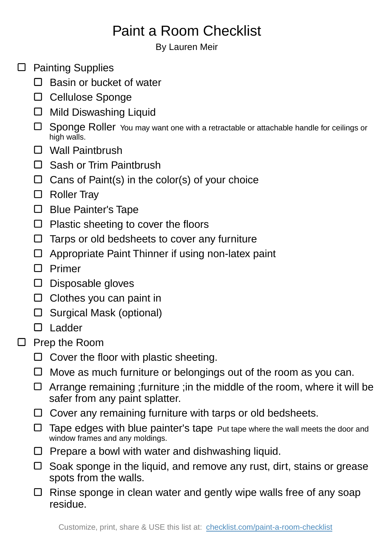## Paint a Room Checklist

By Lauren Meir

- $\square$  Painting Supplies
	- $\Box$  Basin or bucket of water
	- □ Cellulose Sponge
	- $\Box$  Mild Diswashing Liquid
	- Sponge Roller You may want one with a retractable or attachable handle for ceilings or high walls.
	- Wall Paintbrush
	- □ Sash or Trim Paintbrush
	- $\Box$  Cans of Paint(s) in the color(s) of your choice
	- □ Roller Tray
	- □ Blue Painter's Tape
	- $\Box$  Plastic sheeting to cover the floors
	- $\Box$  Tarps or old bedsheets to cover any furniture
	- $\Box$  Appropriate Paint Thinner if using non-latex paint
	- $\Box$  Primer
	- D Disposable gloves
	- $\Box$  Clothes you can paint in
	- $\square$  Surgical Mask (optional)
	- □ Ladder
- $\square$  Prep the Room
	- $\Box$  Cover the floor with plastic sheeting.
	- $\Box$  Move as much furniture or belongings out of the room as you can.
	- $\Box$  Arrange remaining ; furniture ; in the middle of the room, where it will be safer from any paint splatter.
	- $\Box$  Cover any remaining furniture with tarps or old bedsheets.
	- $\Box$  Tape edges with blue painter's tape Put tape where the wall meets the door and window frames and any moldings.
	- $\Box$  Prepare a bowl with water and dishwashing liquid.
	- $\Box$  Soak sponge in the liquid, and remove any rust, dirt, stains or grease spots from the walls.
	- $\Box$  Rinse sponge in clean water and gently wipe walls free of any soap residue.